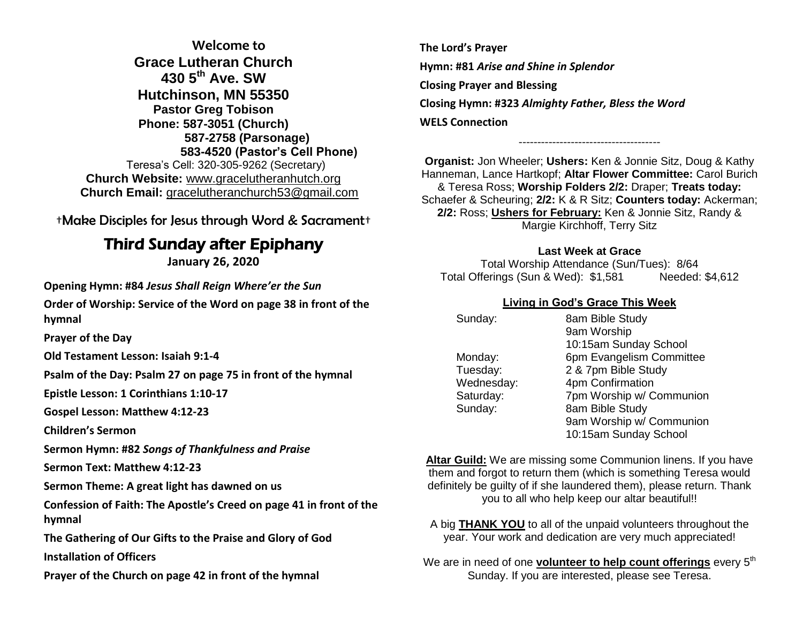**Welcome to Grace Lutheran Church 430 5th Ave. SW Hutchinson, MN 55350 Pastor Greg Tobison Phone: 587-3051 (Church) 587-2758 (Parsonage) 583-4520 (Pastor's Cell Phone)** Teresa's Cell: 320-305-9262 (Secretary) **Church Website:** [www.gracelutheranhutch.org](http://www.gracelutheranhutch.org/) **Church Email:** [gracelutheranchurch53@gmail.com](mailto:gracelutheranchurch53@gmail.com)

†Make Disciples for Jesus through Word & Sacrament†

# Third Sunday after Epiphany

**January 26, 2020**

**Opening Hymn: #84** *Jesus Shall Reign Where'er the Sun*

**Order of Worship: Service of the Word on page 38 in front of the hymnal** 

**Prayer of the Day**

**Old Testament Lesson: Isaiah 9:1-4**

**Psalm of the Day: Psalm 27 on page 75 in front of the hymnal** 

**Epistle Lesson: 1 Corinthians 1:10-17**

**Gospel Lesson: Matthew 4:12-23**

**Children's Sermon**

**Sermon Hymn: #82** *Songs of Thankfulness and Praise*

**Sermon Text: Matthew 4:12-23**

**Sermon Theme: A great light has dawned on us**

**Confession of Faith: The Apostle's Creed on page 41 in front of the hymnal**

**The Gathering of Our Gifts to the Praise and Glory of God**

**Installation of Officers**

**Prayer of the Church on page 42 in front of the hymnal**

**The Lord's Prayer Hymn: #81** *Arise and Shine in Splendor* **Closing Prayer and Blessing Closing Hymn: #323** *Almighty Father, Bless the Word* **WELS Connection**

**Organist:** Jon Wheeler; **Ushers:** Ken & Jonnie Sitz, Doug & Kathy Hanneman, Lance Hartkopf; **Altar Flower Committee:** Carol Burich & Teresa Ross; **Worship Folders 2/2:** Draper; **Treats today:** Schaefer & Scheuring; **2/2:** K & R Sitz; **Counters today:** Ackerman; **2/2:** Ross; **Ushers for February:** Ken & Jonnie Sitz, Randy & Margie Kirchhoff, Terry Sitz

--------------------------------------

#### **Last Week at Grace**

Total Worship Attendance (Sun/Tues): 8/64 Total Offerings (Sun & Wed): \$1,581 Needed: \$4,612

### **Living in God's Grace This Week**

| Sunday:    | 8am Bible Study          |
|------------|--------------------------|
|            | 9am Worship              |
|            | 10:15am Sunday School    |
| Monday:    | 6pm Evangelism Committee |
| Tuesday:   | 2 & 7pm Bible Study      |
| Wednesday: | 4pm Confirmation         |
| Saturday:  | 7pm Worship w/ Communion |
| Sunday:    | 8am Bible Study          |
|            | 9am Worship w/ Communion |
|            | 10:15am Sunday School    |

**Altar Guild:** We are missing some Communion linens. If you have them and forgot to return them (which is something Teresa would definitely be guilty of if she laundered them), please return. Thank you to all who help keep our altar beautiful!!

A big **THANK YOU** to all of the unpaid volunteers throughout the year. Your work and dedication are very much appreciated!

We are in need of one **volunteer to help count offerings** every 5<sup>th</sup> Sunday. If you are interested, please see Teresa.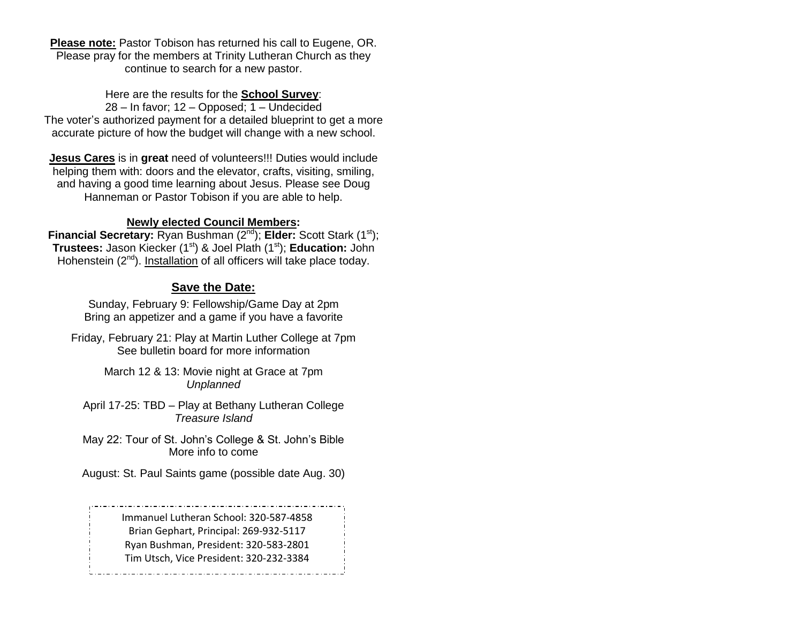**Please note:** Pastor Tobison has returned his call to Eugene, OR. Please pray for the members at Trinity Lutheran Church as they continue to search for a new pastor.

Here are the results for the **School Survey**: 28 – In favor; 12 – Opposed; 1 – Undecided The voter's authorized payment for a detailed blueprint to get a more accurate picture of how the budget will change with a new school.

**Jesus Cares** is in **great** need of volunteers!!! Duties would include helping them with: doors and the elevator, crafts, visiting, smiling, and having a good time learning about Jesus. Please see Doug Hanneman or Pastor Tobison if you are able to help.

### **Newly elected Council Members:**

**Financial Secretary:** Ryan Bushman (2<sup>nd</sup>); **Elder:** Scott Stark (1<sup>st</sup>); **Trustees:** Jason Kiecker (1<sup>st</sup>) & Joel Plath (1<sup>st</sup>); **Education:** John Hohenstein  $(2^{nd})$ . Installation of all officers will take place today.

# **Save the Date:**

Sunday, February 9: Fellowship/Game Day at 2pm Bring an appetizer and a game if you have a favorite

Friday, February 21: Play at Martin Luther College at 7pm See bulletin board for more information

> March 12 & 13: Movie night at Grace at 7pm *Unplanned*

April 17-25: TBD – Play at Bethany Lutheran College *Treasure Island*

May 22: Tour of St. John's College & St. John's Bible More info to come

August: St. Paul Saints game (possible date Aug. 30)

Immanuel Lutheran School: 320-587-4858 Brian Gephart, Principal: 269-932-5117 Ryan Bushman, President: 320-583-2801 Tim Utsch, Vice President: 320-232-3384